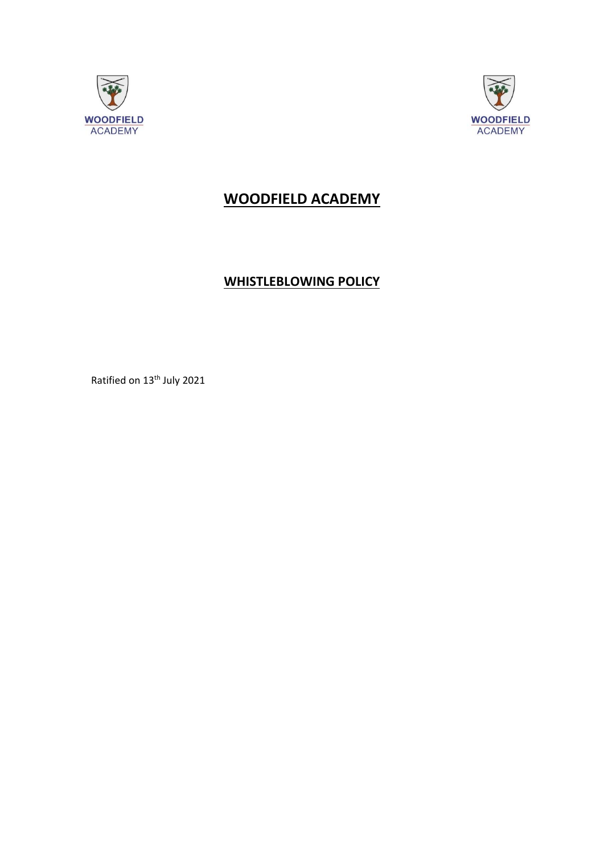



# **WOODFIELD ACADEMY**

# **WHISTLEBLOWING POLICY**

Ratified on 13<sup>th</sup> July 2021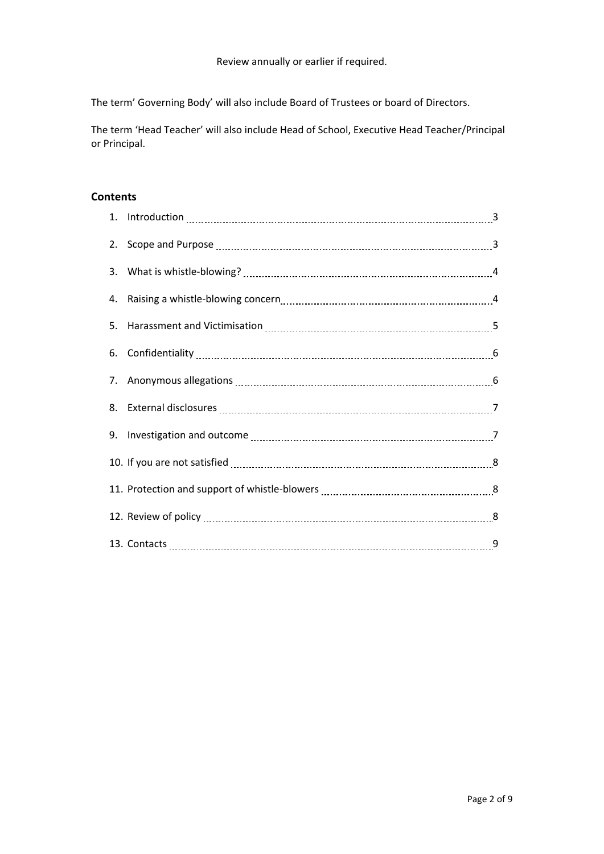The term' Governing Body' will also include Board of Trustees or board of Directors.

The term 'Head Teacher' will also include Head of School, Executive Head Teacher/Principal or Principal.

## **Contents**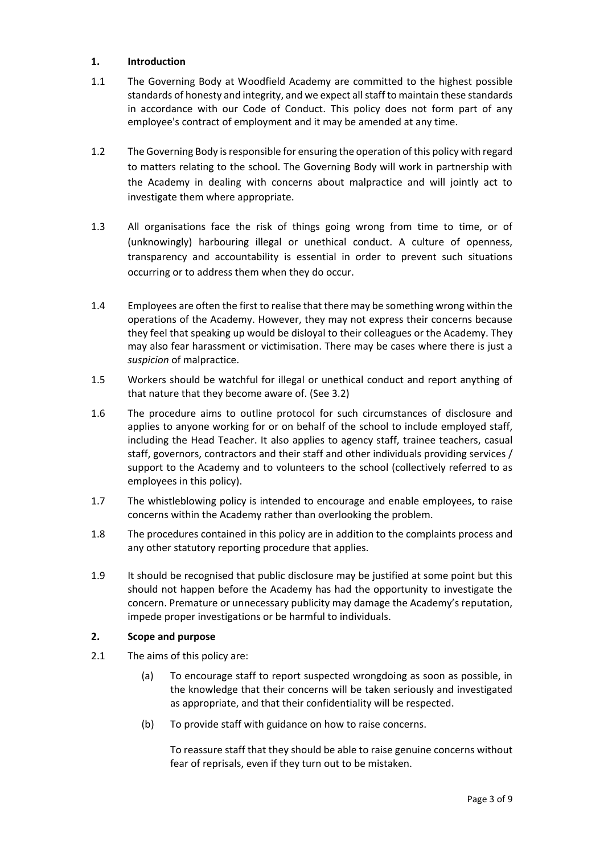#### **1. Introduction**

- 1.1 The Governing Body at Woodfield Academy are committed to the highest possible standards of honesty and integrity, and we expect all staff to maintain these standards in accordance with our Code of Conduct. This policy does not form part of any employee's contract of employment and it may be amended at any time.
- 1.2 The Governing Body is responsible for ensuring the operation of this policy with regard to matters relating to the school. The Governing Body will work in partnership with the Academy in dealing with concerns about malpractice and will jointly act to investigate them where appropriate.
- 1.3 All organisations face the risk of things going wrong from time to time, or of (unknowingly) harbouring illegal or unethical conduct. A culture of openness, transparency and accountability is essential in order to prevent such situations occurring or to address them when they do occur.
- 1.4 Employees are often the first to realise that there may be something wrong within the operations of the Academy. However, they may not express their concerns because they feel that speaking up would be disloyal to their colleagues or the Academy. They may also fear harassment or victimisation. There may be cases where there is just a *suspicion* of malpractice.
- 1.5 Workers should be watchful for illegal or unethical conduct and report anything of that nature that they become aware of. (See 3.2)
- 1.6 The procedure aims to outline protocol for such circumstances of disclosure and applies to anyone working for or on behalf of the school to include employed staff, including the Head Teacher. It also applies to agency staff, trainee teachers, casual staff, governors, contractors and their staff and other individuals providing services / support to the Academy and to volunteers to the school (collectively referred to as employees in this policy).
- 1.7 The whistleblowing policy is intended to encourage and enable employees, to raise concerns within the Academy rather than overlooking the problem.
- 1.8 The procedures contained in this policy are in addition to the complaints process and any other statutory reporting procedure that applies.
- 1.9 It should be recognised that public disclosure may be justified at some point but this should not happen before the Academy has had the opportunity to investigate the concern. Premature or unnecessary publicity may damage the Academy's reputation, impede proper investigations or be harmful to individuals.

#### **2. Scope and purpose**

- 2.1 The aims of this policy are:
	- (a) To encourage staff to report suspected wrongdoing as soon as possible, in the knowledge that their concerns will be taken seriously and investigated as appropriate, and that their confidentiality will be respected.
	- (b) To provide staff with guidance on how to raise concerns.

To reassure staff that they should be able to raise genuine concerns without fear of reprisals, even if they turn out to be mistaken.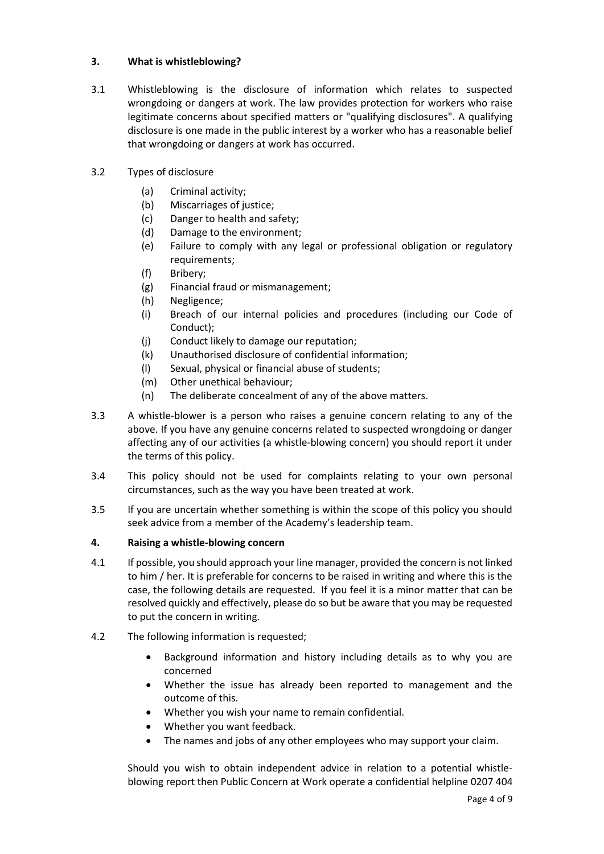#### **3. What is whistleblowing?**

- 3.1 Whistleblowing is the disclosure of information which relates to suspected wrongdoing or dangers at work. The law provides protection for workers who raise legitimate concerns about specified matters or "qualifying disclosures". A qualifying disclosure is one made in the public interest by a worker who has a reasonable belief that wrongdoing or dangers at work has occurred.
- 3.2 Types of disclosure
	- (a) Criminal activity;
	- (b) Miscarriages of justice;
	- (c) Danger to health and safety;
	- (d) Damage to the environment;
	- (e) Failure to comply with any legal or professional obligation or regulatory requirements;
	- (f) Bribery;
	- (g) Financial fraud or mismanagement;
	- (h) Negligence;
	- (i) Breach of our internal policies and procedures (including our Code of Conduct);
	- (j) Conduct likely to damage our reputation;
	- (k) Unauthorised disclosure of confidential information;
	- (l) Sexual, physical or financial abuse of students;
	- (m) Other unethical behaviour;
	- (n) The deliberate concealment of any of the above matters.
- 3.3 A whistle-blower is a person who raises a genuine concern relating to any of the above. If you have any genuine concerns related to suspected wrongdoing or danger affecting any of our activities (a whistle-blowing concern) you should report it under the terms of this policy.
- 3.4 This policy should not be used for complaints relating to your own personal circumstances, such as the way you have been treated at work.
- 3.5 If you are uncertain whether something is within the scope of this policy you should seek advice from a member of the Academy's leadership team.

#### **4. Raising a whistle-blowing concern**

- 4.1 If possible, you should approach your line manager, provided the concern is not linked to him / her. It is preferable for concerns to be raised in writing and where this is the case, the following details are requested. If you feel it is a minor matter that can be resolved quickly and effectively, please do so but be aware that you may be requested to put the concern in writing.
- 4.2 The following information is requested;
	- Background information and history including details as to why you are concerned
	- Whether the issue has already been reported to management and the outcome of this.
	- Whether you wish your name to remain confidential.
	- Whether you want feedback.
	- The names and jobs of any other employees who may support your claim.

Should you wish to obtain independent advice in relation to a potential whistleblowing report then Public Concern at Work operate a confidential helpline 0207 404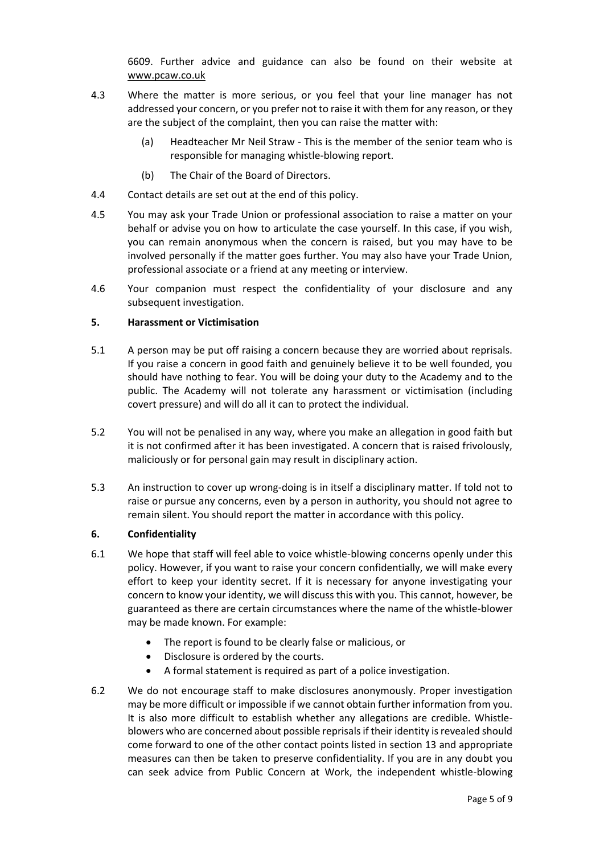6609. Further advice and guidance can also be found on their website at [www.pcaw.co.uk](http://www.pcaw.co.uk/)

- 4.3 Where the matter is more serious, or you feel that your line manager has not addressed your concern, or you prefer not to raise it with them for any reason, or they are the subject of the complaint, then you can raise the matter with:
	- (a) Headteacher Mr Neil Straw This is the member of the senior team who is responsible for managing whistle-blowing report.
	- (b) The Chair of the Board of Directors.
- 4.4 Contact details are set out at the end of this policy.
- 4.5 You may ask your Trade Union or professional association to raise a matter on your behalf or advise you on how to articulate the case yourself. In this case, if you wish, you can remain anonymous when the concern is raised, but you may have to be involved personally if the matter goes further. You may also have your Trade Union, professional associate or a friend at any meeting or interview.
- 4.6 Your companion must respect the confidentiality of your disclosure and any subsequent investigation.

#### **5. Harassment or Victimisation**

- 5.1 A person may be put off raising a concern because they are worried about reprisals. If you raise a concern in good faith and genuinely believe it to be well founded, you should have nothing to fear. You will be doing your duty to the Academy and to the public. The Academy will not tolerate any harassment or victimisation (including covert pressure) and will do all it can to protect the individual.
- 5.2 You will not be penalised in any way, where you make an allegation in good faith but it is not confirmed after it has been investigated. A concern that is raised frivolously, maliciously or for personal gain may result in disciplinary action.
- 5.3 An instruction to cover up wrong-doing is in itself a disciplinary matter. If told not to raise or pursue any concerns, even by a person in authority, you should not agree to remain silent. You should report the matter in accordance with this policy.

#### **6. Confidentiality**

- 6.1 We hope that staff will feel able to voice whistle-blowing concerns openly under this policy. However, if you want to raise your concern confidentially, we will make every effort to keep your identity secret. If it is necessary for anyone investigating your concern to know your identity, we will discuss this with you. This cannot, however, be guaranteed as there are certain circumstances where the name of the whistle-blower may be made known. For example:
	- The report is found to be clearly false or malicious, or
	- Disclosure is ordered by the courts.
	- A formal statement is required as part of a police investigation.
- 6.2 We do not encourage staff to make disclosures anonymously. Proper investigation may be more difficult or impossible if we cannot obtain further information from you. It is also more difficult to establish whether any allegations are credible. Whistleblowers who are concerned about possible reprisals if their identity is revealed should come forward to one of the other contact points listed in section 13 and appropriate measures can then be taken to preserve confidentiality. If you are in any doubt you can seek advice from Public Concern at Work, the independent whistle-blowing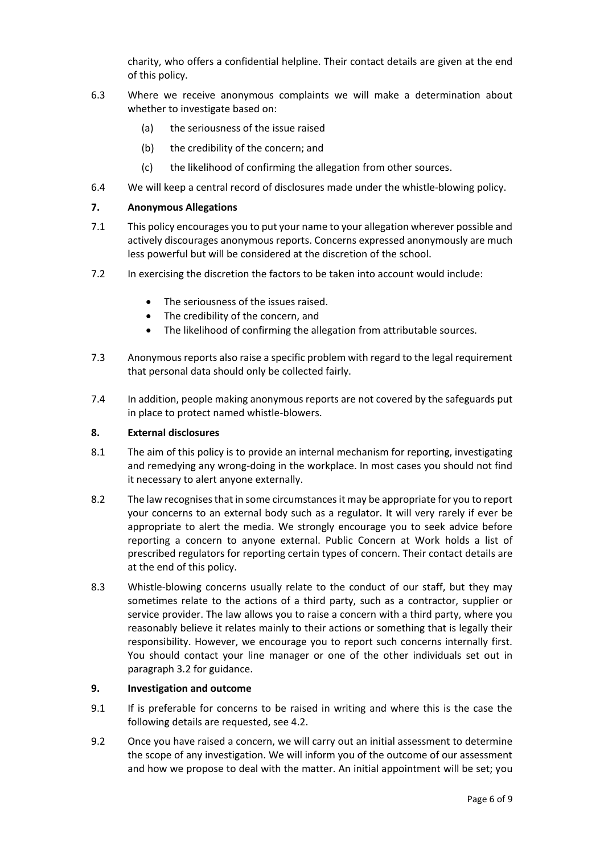charity, who offers a confidential helpline. Their contact details are given at the end of this policy.

- 6.3 Where we receive anonymous complaints we will make a determination about whether to investigate based on:
	- (a) the seriousness of the issue raised
	- (b) the credibility of the concern; and
	- (c) the likelihood of confirming the allegation from other sources.
- 6.4 We will keep a central record of disclosures made under the whistle-blowing policy.

#### **7. Anonymous Allegations**

- 7.1 This policy encourages you to put your name to your allegation wherever possible and actively discourages anonymous reports. Concerns expressed anonymously are much less powerful but will be considered at the discretion of the school.
- 7.2 In exercising the discretion the factors to be taken into account would include:
	- The seriousness of the issues raised.
	- The credibility of the concern, and
	- The likelihood of confirming the allegation from attributable sources.
- 7.3 Anonymous reports also raise a specific problem with regard to the legal requirement that personal data should only be collected fairly.
- 7.4 In addition, people making anonymous reports are not covered by the safeguards put in place to protect named whistle-blowers.

#### **8. External disclosures**

- 8.1 The aim of this policy is to provide an internal mechanism for reporting, investigating and remedying any wrong-doing in the workplace. In most cases you should not find it necessary to alert anyone externally.
- 8.2 The law recognises that in some circumstances it may be appropriate for you to report your concerns to an external body such as a regulator. It will very rarely if ever be appropriate to alert the media. We strongly encourage you to seek advice before reporting a concern to anyone external. Public Concern at Work holds a list of prescribed regulators for reporting certain types of concern. Their contact details are at the end of this policy.
- 8.3 Whistle-blowing concerns usually relate to the conduct of our staff, but they may sometimes relate to the actions of a third party, such as a contractor, supplier or service provider. The law allows you to raise a concern with a third party, where you reasonably believe it relates mainly to their actions or something that is legally their responsibility. However, we encourage you to report such concerns internally first. You should contact your line manager or one of the other individuals set out in paragraph 3.2 for guidance.

#### **9. Investigation and outcome**

- 9.1 If is preferable for concerns to be raised in writing and where this is the case the following details are requested, see 4.2.
- 9.2 Once you have raised a concern, we will carry out an initial assessment to determine the scope of any investigation. We will inform you of the outcome of our assessment and how we propose to deal with the matter. An initial appointment will be set; you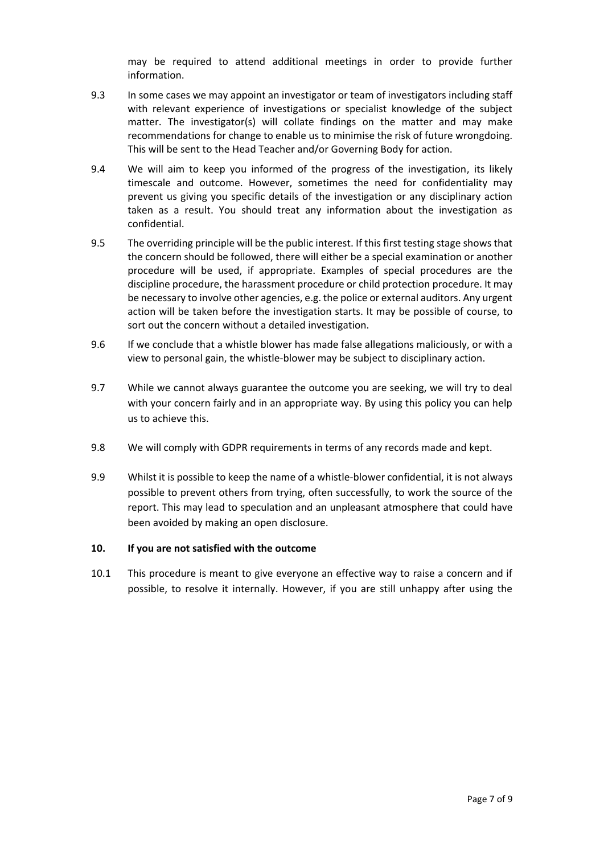may be required to attend additional meetings in order to provide further information.

- 9.3 In some cases we may appoint an investigator or team of investigators including staff with relevant experience of investigations or specialist knowledge of the subject matter. The investigator(s) will collate findings on the matter and may make recommendations for change to enable us to minimise the risk of future wrongdoing. This will be sent to the Head Teacher and/or Governing Body for action.
- 9.4 We will aim to keep you informed of the progress of the investigation, its likely timescale and outcome. However, sometimes the need for confidentiality may prevent us giving you specific details of the investigation or any disciplinary action taken as a result. You should treat any information about the investigation as confidential.
- 9.5 The overriding principle will be the public interest. If this first testing stage shows that the concern should be followed, there will either be a special examination or another procedure will be used, if appropriate. Examples of special procedures are the discipline procedure, the harassment procedure or child protection procedure. It may be necessary to involve other agencies, e.g. the police or external auditors. Any urgent action will be taken before the investigation starts. It may be possible of course, to sort out the concern without a detailed investigation.
- 9.6 If we conclude that a whistle blower has made false allegations maliciously, or with a view to personal gain, the whistle-blower may be subject to disciplinary action.
- 9.7 While we cannot always guarantee the outcome you are seeking, we will try to deal with your concern fairly and in an appropriate way. By using this policy you can help us to achieve this.
- 9.8 We will comply with GDPR requirements in terms of any records made and kept.
- 9.9 Whilst it is possible to keep the name of a whistle-blower confidential, it is not always possible to prevent others from trying, often successfully, to work the source of the report. This may lead to speculation and an unpleasant atmosphere that could have been avoided by making an open disclosure.

#### **10. If you are not satisfied with the outcome**

10.1 This procedure is meant to give everyone an effective way to raise a concern and if possible, to resolve it internally. However, if you are still unhappy after using the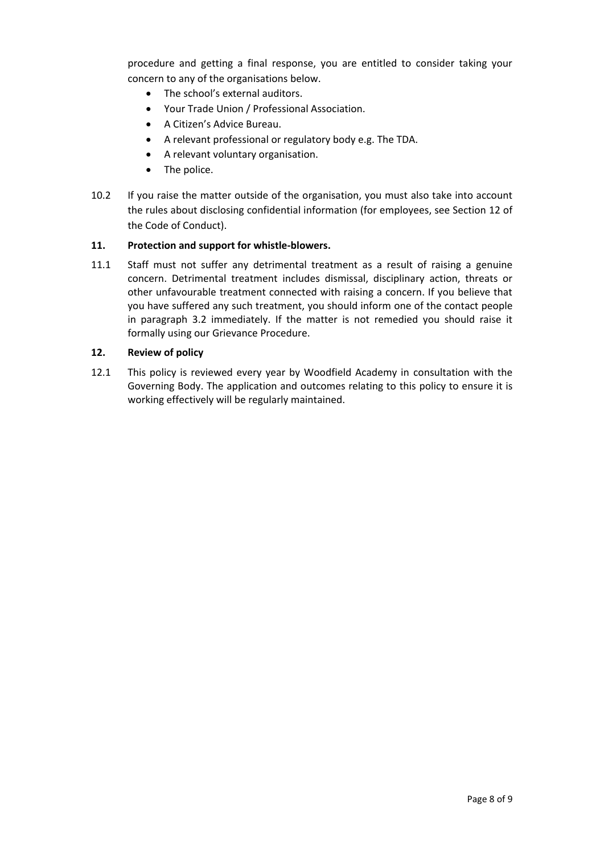procedure and getting a final response, you are entitled to consider taking your concern to any of the organisations below.

- The school's external auditors.
- Your Trade Union / Professional Association.
- A Citizen's Advice Bureau.
- A relevant professional or regulatory body e.g. The TDA.
- A relevant voluntary organisation.
- The police.
- 10.2 If you raise the matter outside of the organisation, you must also take into account the rules about disclosing confidential information (for employees, see Section 12 of the Code of Conduct).

#### **11. Protection and support for whistle-blowers.**

11.1 Staff must not suffer any detrimental treatment as a result of raising a genuine concern. Detrimental treatment includes dismissal, disciplinary action, threats or other unfavourable treatment connected with raising a concern. If you believe that you have suffered any such treatment, you should inform one of the contact people in paragraph 3.2 immediately. If the matter is not remedied you should raise it formally using our Grievance Procedure.

#### **12. Review of policy**

12.1 This policy is reviewed every year by Woodfield Academy in consultation with the Governing Body. The application and outcomes relating to this policy to ensure it is working effectively will be regularly maintained.